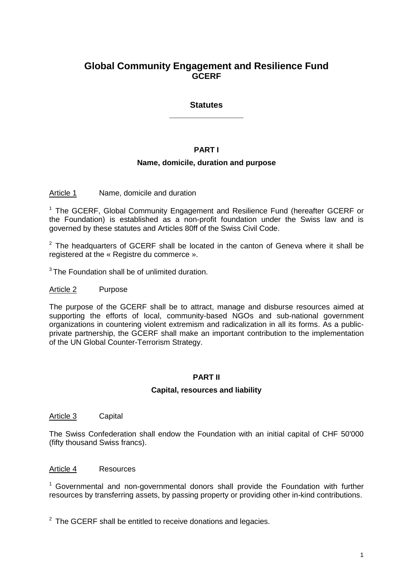# **Global Community Engagement and Resilience Fund GCERF**

# **Statutes \_\_\_\_\_\_\_\_\_\_\_\_\_\_\_\_**

# **PART I**

# **Name, domicile, duration and purpose**

Article 1 Name, domicile and duration

<sup>1</sup> The GCERF, Global Community Engagement and Resilience Fund (hereafter GCERF or the Foundation) is established as a non-profit foundation under the Swiss law and is governed by these statutes and Articles 80ff of the Swiss Civil Code.

 $2$  The headquarters of GCERF shall be located in the canton of Geneva where it shall be registered at the « Registre du commerce ».

 $3$  The Foundation shall be of unlimited duration.

#### Article 2 Purpose

The purpose of the GCERF shall be to attract, manage and disburse resources aimed at supporting the efforts of local, community-based NGOs and sub-national government organizations in countering violent extremism and radicalization in all its forms. As a publicprivate partnership, the GCERF shall make an important contribution to the implementation of the UN Global Counter-Terrorism Strategy.

#### **PART II**

#### **Capital, resources and liability**

Article 3 Capital

The Swiss Confederation shall endow the Foundation with an initial capital of CHF 50'000 (fifty thousand Swiss francs).

### Article 4 Resources

<sup>1</sup> Governmental and non-governmental donors shall provide the Foundation with further resources by transferring assets, by passing property or providing other in-kind contributions.

 $2$  The GCERF shall be entitled to receive donations and legacies.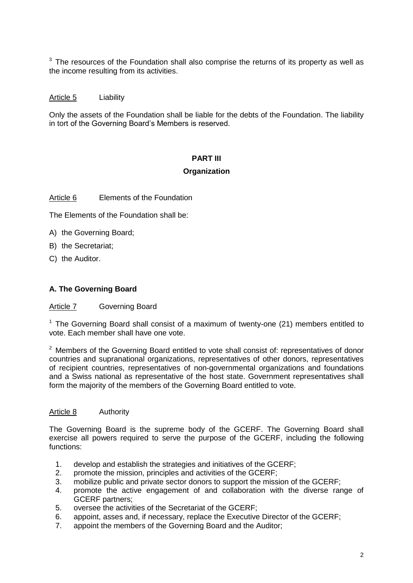$3$  The resources of the Foundation shall also comprise the returns of its property as well as the income resulting from its activities.

### Article 5 Liability

Only the assets of the Foundation shall be liable for the debts of the Foundation. The liability in tort of the Governing Board's Members is reserved.

# **PART III**

### **Organization**

### Article 6 Elements of the Foundation

The Elements of the Foundation shall be:

- A) the Governing Board;
- B) the Secretariat;
- C) the Auditor.

### **A. The Governing Board**

#### Article 7 Governing Board

<sup>1</sup> The Governing Board shall consist of a maximum of twenty-one (21) members entitled to vote. Each member shall have one vote.

 $2$  Members of the Governing Board entitled to vote shall consist of: representatives of donor countries and supranational organizations, representatives of other donors, representatives of recipient countries, representatives of non-governmental organizations and foundations and a Swiss national as representative of the host state. Government representatives shall form the majority of the members of the Governing Board entitled to vote.

#### Article 8 Authority

The Governing Board is the supreme body of the GCERF. The Governing Board shall exercise all powers required to serve the purpose of the GCERF, including the following functions:

- 1. develop and establish the strategies and initiatives of the GCERF;
- 2. promote the mission, principles and activities of the GCERF;
- 3. mobilize public and private sector donors to support the mission of the GCERF;
- 4. promote the active engagement of and collaboration with the diverse range of GCERF partners;
- 5. oversee the activities of the Secretariat of the GCERF;
- 6. appoint, asses and, if necessary, replace the Executive Director of the GCERF;
- 7. appoint the members of the Governing Board and the Auditor;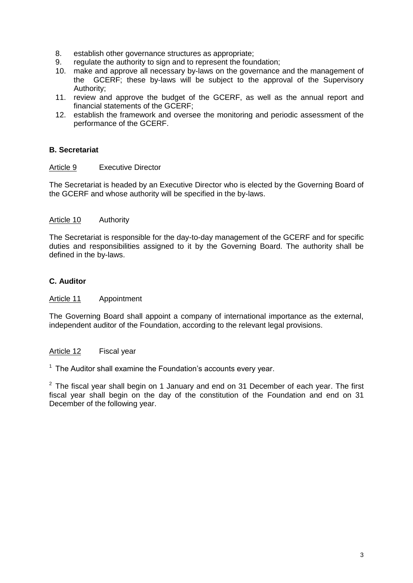- 8. establish other governance structures as appropriate;
- 9. regulate the authority to sign and to represent the foundation;
- 10. make and approve all necessary by-laws on the governance and the management of the GCERF; these by-laws will be subject to the approval of the Supervisory Authority;
- 11. review and approve the budget of the GCERF, as well as the annual report and financial statements of the GCERF;
- 12. establish the framework and oversee the monitoring and periodic assessment of the performance of the GCERF.

# **B. Secretariat**

#### Article 9 Executive Director

The Secretariat is headed by an Executive Director who is elected by the Governing Board of the GCERF and whose authority will be specified in the by-laws.

### Article 10 Authority

The Secretariat is responsible for the day-to-day management of the GCERF and for specific duties and responsibilities assigned to it by the Governing Board. The authority shall be defined in the by-laws.

### **C. Auditor**

Article 11 Appointment

The Governing Board shall appoint a company of international importance as the external, independent auditor of the Foundation, according to the relevant legal provisions.

Article 12 Fiscal year

 $1$  The Auditor shall examine the Foundation's accounts every year.

 $2$  The fiscal year shall begin on 1 January and end on 31 December of each year. The first fiscal year shall begin on the day of the constitution of the Foundation and end on 31 December of the following year.